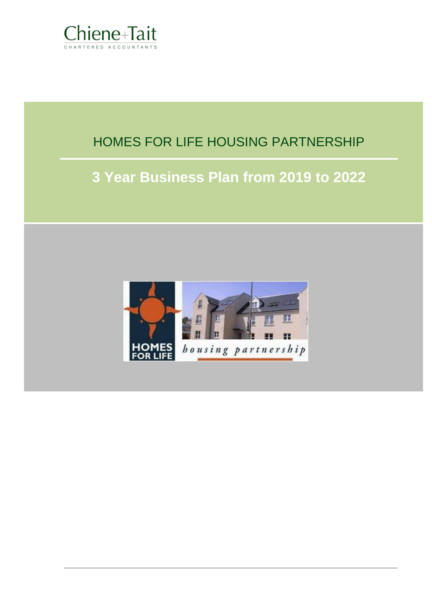

# HOMES FOR LIFE HOUSING PARTNERSHIP

# **3 Year Business Plan from 2019 to 2022**

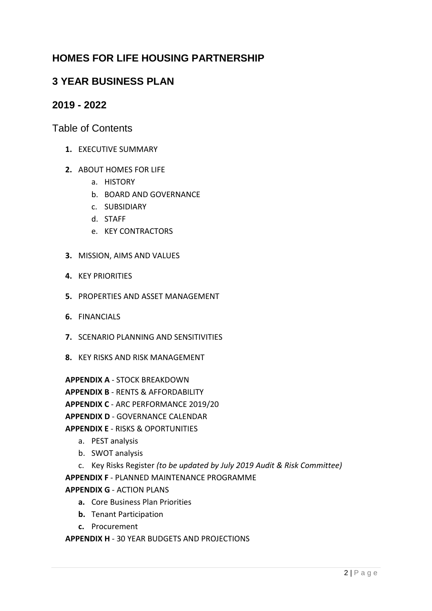# **HOMES FOR LIFE HOUSING PARTNERSHIP**

# **3 YEAR BUSINESS PLAN**

# **2019 - 2022**

Table of Contents

- **1.** EXECUTIVE SUMMARY
- **2.** ABOUT HOMES FOR LIFE
	- a. HISTORY
	- b. BOARD AND GOVERNANCE
	- c. SUBSIDIARY
	- d. STAFF
	- e. KEY CONTRACTORS
- **3.** MISSION, AIMS AND VALUES
- **4.** KEY PRIORITIES
- **5.** PROPERTIES AND ASSET MANAGEMENT
- **6.** FINANCIALS
- **7.** SCENARIO PLANNING AND SENSITIVITIES
- **8.** KEY RISKS AND RISK MANAGEMENT

**APPENDIX A** - STOCK BREAKDOWN

**APPENDIX B** - RENTS & AFFORDABILITY

**APPENDIX C** - ARC PERFORMANCE 2019/20

**APPENDIX D** - GOVERNANCE CALENDAR

# **APPENDIX E** - RISKS & OPORTUNITIES

- a. PEST analysis
- b. SWOT analysis
- c. Key Risks Register *(to be updated by July 2019 Audit & Risk Committee)* **APPENDIX F** - PLANNED MAINTENANCE PROGRAMME

**APPENDIX G** - ACTION PLANS

- **a.** Core Business Plan Priorities
- **b.** Tenant Participation
- **c.** Procurement

**APPENDIX H** - 30 YEAR BUDGETS AND PROJECTIONS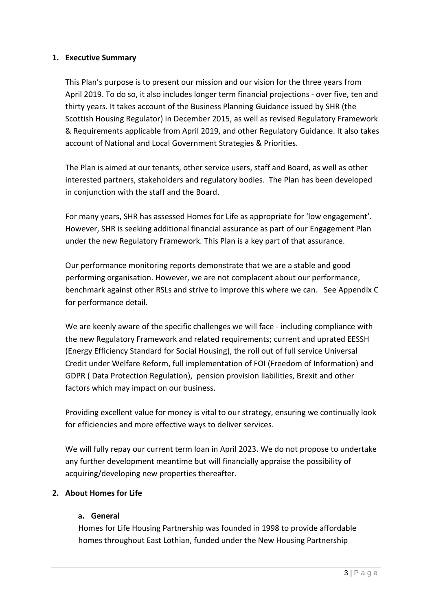# **1. Executive Summary**

This Plan's purpose is to present our mission and our vision for the three years from April 2019. To do so, it also includes longer term financial projections - over five, ten and thirty years. It takes account of the Business Planning Guidance issued by SHR (the Scottish Housing Regulator) in December 2015, as well as revised Regulatory Framework & Requirements applicable from April 2019, and other Regulatory Guidance. It also takes account of National and Local Government Strategies & Priorities.

The Plan is aimed at our tenants, other service users, staff and Board, as well as other interested partners, stakeholders and regulatory bodies. The Plan has been developed in conjunction with the staff and the Board.

For many years, SHR has assessed Homes for Life as appropriate for 'low engagement'. However, SHR is seeking additional financial assurance as part of our Engagement Plan under the new Regulatory Framework. This Plan is a key part of that assurance.

Our performance monitoring reports demonstrate that we are a stable and good performing organisation. However, we are not complacent about our performance, benchmark against other RSLs and strive to improve this where we can. See Appendix C for performance detail.

We are keenly aware of the specific challenges we will face - including compliance with the new Regulatory Framework and related requirements; current and uprated EESSH (Energy Efficiency Standard for Social Housing), the roll out of full service Universal Credit under Welfare Reform, full implementation of FOI (Freedom of Information) and GDPR ( Data Protection Regulation), pension provision liabilities, Brexit and other factors which may impact on our business.

Providing excellent value for money is vital to our strategy, ensuring we continually look for efficiencies and more effective ways to deliver services.

We will fully repay our current term loan in April 2023. We do not propose to undertake any further development meantime but will financially appraise the possibility of acquiring/developing new properties thereafter.

# **2. About Homes for Life**

# **a. General**

Homes for Life Housing Partnership was founded in 1998 to provide affordable homes throughout East Lothian, funded under the New Housing Partnership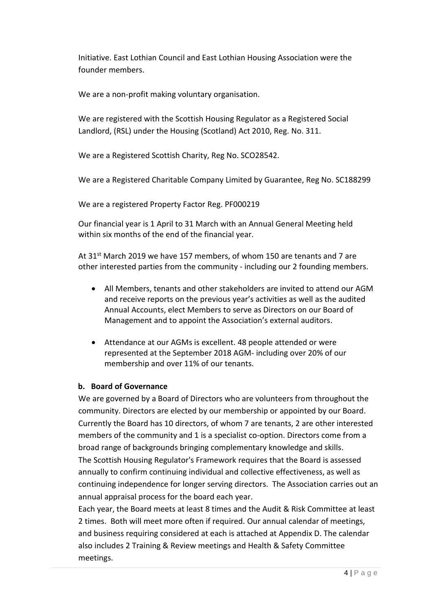Initiative. East Lothian Council and East Lothian Housing Association were the founder members.

We are a non-profit making voluntary organisation.

We are registered with the Scottish Housing Regulator as a Registered Social Landlord, (RSL) under the Housing (Scotland) Act 2010, Reg. No. 311.

We are a Registered Scottish Charity, Reg No. SCO28542.

We are a Registered Charitable Company Limited by Guarantee, Reg No. SC188299

We are a registered Property Factor Reg. PF000219

Our financial year is 1 April to 31 March with an Annual General Meeting held within six months of the end of the financial year.

At 31<sup>st</sup> March 2019 we have 157 members, of whom 150 are tenants and 7 are other interested parties from the community - including our 2 founding members.

- All Members, tenants and other stakeholders are invited to attend our AGM and receive reports on the previous year's activities as well as the audited Annual Accounts, elect Members to serve as Directors on our Board of Management and to appoint the Association's external auditors.
- Attendance at our AGMs is excellent. 48 people attended or were represented at the September 2018 AGM- including over 20% of our membership and over 11% of our tenants.

# **b. Board of Governance**

We are governed by a Board of Directors who are volunteers from throughout the community. Directors are elected by our membership or appointed by our Board. Currently the Board has 10 directors, of whom 7 are tenants, 2 are other interested members of the community and 1 is a specialist co-option. Directors come from a broad range of backgrounds bringing complementary knowledge and skills. The Scottish Housing Regulator's Framework requires that the Board is assessed annually to confirm continuing individual and collective effectiveness, as well as continuing independence for longer serving directors. The Association carries out an annual appraisal process for the board each year.

Each year, the Board meets at least 8 times and the Audit & Risk Committee at least 2 times. Both will meet more often if required. Our annual calendar of meetings, and business requiring considered at each is attached at Appendix D. The calendar also includes 2 Training & Review meetings and Health & Safety Committee meetings.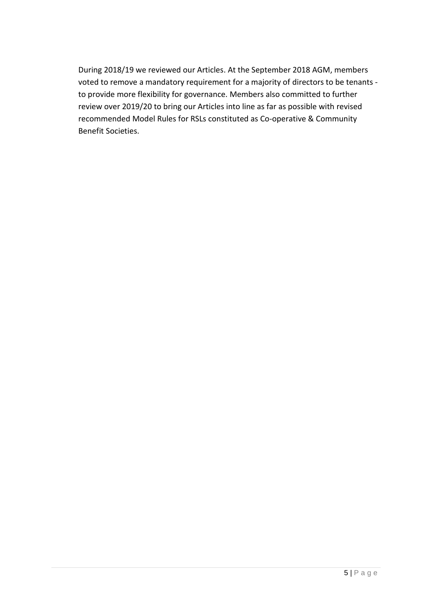During 2018/19 we reviewed our Articles. At the September 2018 AGM, members voted to remove a mandatory requirement for a majority of directors to be tenants to provide more flexibility for governance. Members also committed to further review over 2019/20 to bring our Articles into line as far as possible with revised recommended Model Rules for RSLs constituted as Co-operative & Community Benefit Societies.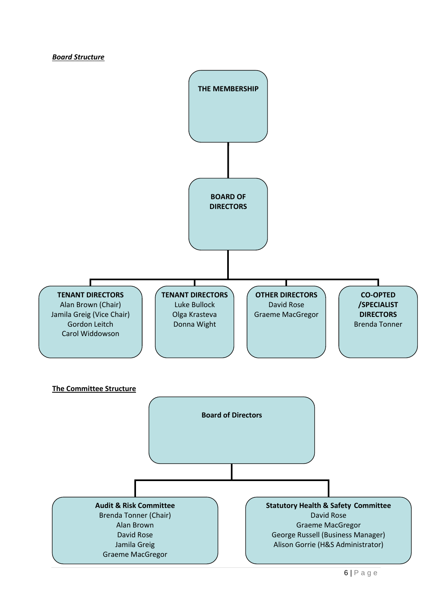#### *Board Structure*

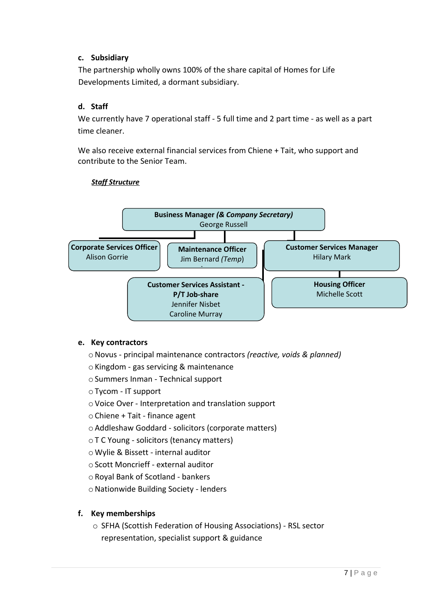# **c. Subsidiary**

The partnership wholly owns 100% of the share capital of Homes for Life Developments Limited, a dormant subsidiary.

# **d. Staff**

We currently have 7 operational staff - 5 full time and 2 part time - as well as a part time cleaner.

We also receive external financial services from Chiene + Tait, who support and contribute to the Senior Team.



# *Staff Structure*

# **e. Key contractors**

oNovus - principal maintenance contractors *(reactive, voids & planned)*

 $\circ$  Kingdom - gas servicing & maintenance

oSummers Inman - Technical support

oTycom - IT support

oVoice Over - Interpretation and translation support

- oChiene + Tait finance agent
- oAddleshaw Goddard solicitors (corporate matters)
- oT C Young solicitors (tenancy matters)
- o Wylie & Bissett internal auditor
- oScott Moncrieff external auditor
- oRoyal Bank of Scotland bankers

o Nationwide Building Society - lenders

# **f. Key memberships**

o SFHA (Scottish Federation of Housing Associations) - RSL sector representation, specialist support & guidance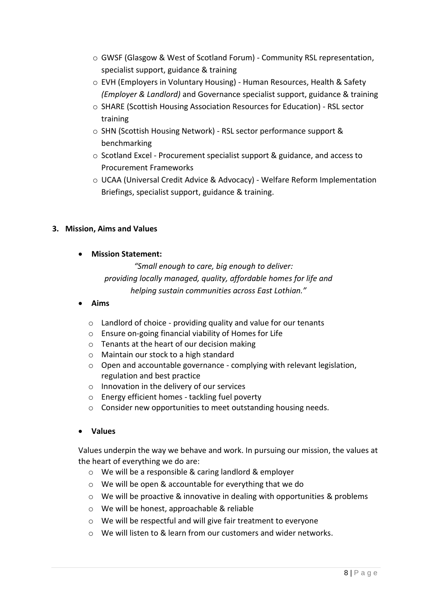- o GWSF (Glasgow & West of Scotland Forum) Community RSL representation, specialist support, guidance & training
- o EVH (Employers in Voluntary Housing) Human Resources, Health & Safety *(Employer & Landlord)* and Governance specialist support, guidance & training
- o SHARE (Scottish Housing Association Resources for Education) RSL sector training
- o SHN (Scottish Housing Network) RSL sector performance support & benchmarking
- o Scotland Excel Procurement specialist support & guidance, and access to Procurement Frameworks
- o UCAA (Universal Credit Advice & Advocacy) Welfare Reform Implementation Briefings, specialist support, guidance & training.

# **3. Mission, Aims and Values**

• **Mission Statement:**

*"Small enough to care, big enough to deliver: providing locally managed, quality, affordable homes for life and helping sustain communities across East Lothian."*

- **Aims**
	- o Landlord of choice providing quality and value for our tenants
	- o Ensure on-going financial viability of Homes for Life
	- o Tenants at the heart of our decision making
	- o Maintain our stock to a high standard
	- o Open and accountable governance complying with relevant legislation, regulation and best practice
	- o Innovation in the delivery of our services
	- o Energy efficient homes tackling fuel poverty
	- o Consider new opportunities to meet outstanding housing needs.
- **Values**

Values underpin the way we behave and work. In pursuing our mission, the values at the heart of everything we do are:

- o We will be a responsible & caring landlord & employer
- o We will be open & accountable for everything that we do
- $\circ$  We will be proactive & innovative in dealing with opportunities & problems
- o We will be honest, approachable & reliable
- o We will be respectful and will give fair treatment to everyone
- o We will listen to & learn from our customers and wider networks.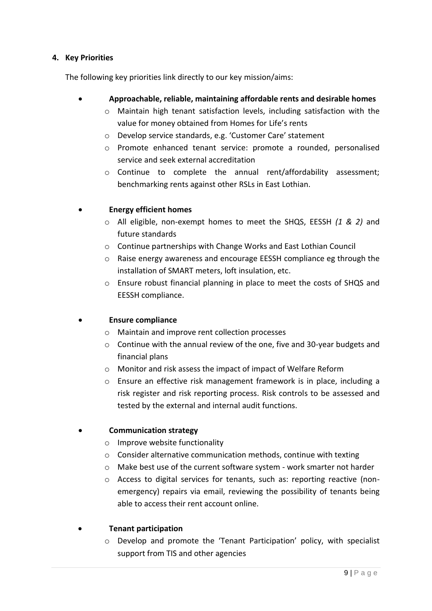# **4. Key Priorities**

The following key priorities link directly to our key mission/aims:

- **Approachable, reliable, maintaining affordable rents and desirable homes**
	- o Maintain high tenant satisfaction levels, including satisfaction with the value for money obtained from Homes for Life's rents
	- o Develop service standards, e.g. 'Customer Care' statement
	- o Promote enhanced tenant service: promote a rounded, personalised service and seek external accreditation
	- $\circ$  Continue to complete the annual rent/affordability assessment; benchmarking rents against other RSLs in East Lothian.

# • **Energy efficient homes**

- o All eligible, non-exempt homes to meet the SHQS, EESSH *(1 & 2)* and future standards
- o Continue partnerships with Change Works and East Lothian Council
- $\circ$  Raise energy awareness and encourage EESSH compliance eg through the installation of SMART meters, loft insulation, etc.
- o Ensure robust financial planning in place to meet the costs of SHQS and EESSH compliance.

# • **Ensure compliance**

- o Maintain and improve rent collection processes
- $\circ$  Continue with the annual review of the one, five and 30-year budgets and financial plans
- o Monitor and risk assess the impact of impact of Welfare Reform
- o Ensure an effective risk management framework is in place, including a risk register and risk reporting process. Risk controls to be assessed and tested by the external and internal audit functions.

# • **Communication strategy**

- o Improve website functionality
- o Consider alternative communication methods, continue with texting
- $\circ$  Make best use of the current software system work smarter not harder
- o Access to digital services for tenants, such as: reporting reactive (nonemergency) repairs via email, reviewing the possibility of tenants being able to access their rent account online.

# • **Tenant participation**

o Develop and promote the 'Tenant Participation' policy, with specialist support from TIS and other agencies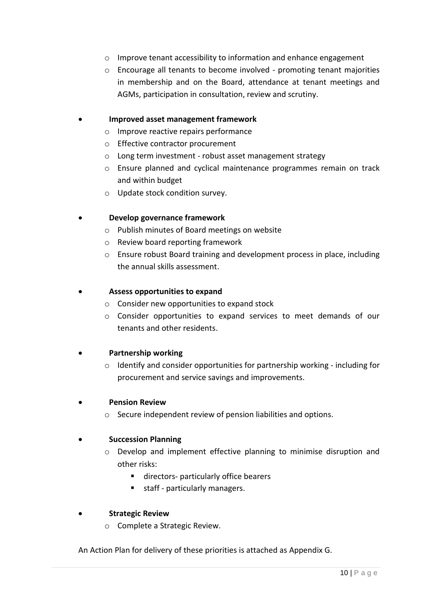- o Improve tenant accessibility to information and enhance engagement
- $\circ$  Encourage all tenants to become involved promoting tenant majorities in membership and on the Board, attendance at tenant meetings and AGMs, participation in consultation, review and scrutiny.

# • **Improved asset management framework**

- o Improve reactive repairs performance
- o Effective contractor procurement
- o Long term investment robust asset management strategy
- o Ensure planned and cyclical maintenance programmes remain on track and within budget
- o Update stock condition survey.

#### • **Develop governance framework**

- o Publish minutes of Board meetings on website
- o Review board reporting framework
- o Ensure robust Board training and development process in place, including the annual skills assessment.

#### • **Assess opportunities to expand**

- o Consider new opportunities to expand stock
- $\circ$  Consider opportunities to expand services to meet demands of our tenants and other residents.

# • **Partnership working**

o Identify and consider opportunities for partnership working - including for procurement and service savings and improvements.

#### • **Pension Review**

o Secure independent review of pension liabilities and options.

#### • **Succession Planning**

- $\circ$  Develop and implement effective planning to minimise disruption and other risks:
	- directors- particularly office bearers
	- staff particularly managers.

#### • **Strategic Review**

o Complete a Strategic Review.

An Action Plan for delivery of these priorities is attached as Appendix G.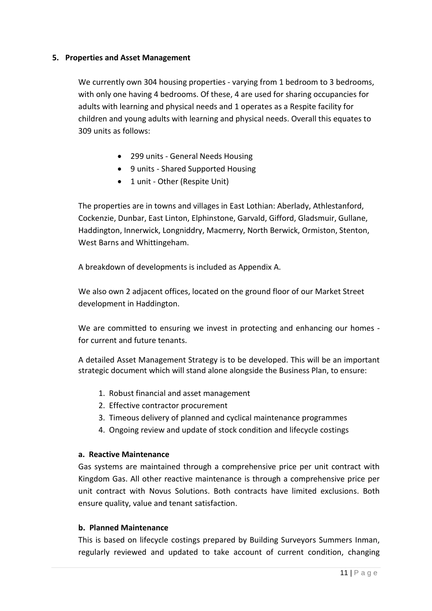# **5. Properties and Asset Management**

We currently own 304 housing properties - varying from 1 bedroom to 3 bedrooms, with only one having 4 bedrooms. Of these, 4 are used for sharing occupancies for adults with learning and physical needs and 1 operates as a Respite facility for children and young adults with learning and physical needs. Overall this equates to 309 units as follows:

- 299 units General Needs Housing
- 9 units Shared Supported Housing
- 1 unit Other (Respite Unit)

The properties are in towns and villages in East Lothian: Aberlady, Athlestanford, Cockenzie, Dunbar, East Linton, Elphinstone, Garvald, Gifford, Gladsmuir, Gullane, Haddington, Innerwick, Longniddry, Macmerry, North Berwick, Ormiston, Stenton, West Barns and Whittingeham.

A breakdown of developments is included as Appendix A.

We also own 2 adjacent offices, located on the ground floor of our Market Street development in Haddington.

We are committed to ensuring we invest in protecting and enhancing our homes for current and future tenants.

A detailed Asset Management Strategy is to be developed. This will be an important strategic document which will stand alone alongside the Business Plan, to ensure:

- 1. Robust financial and asset management
- 2. Effective contractor procurement
- 3. Timeous delivery of planned and cyclical maintenance programmes
- 4. Ongoing review and update of stock condition and lifecycle costings

# **a. Reactive Maintenance**

Gas systems are maintained through a comprehensive price per unit contract with Kingdom Gas. All other reactive maintenance is through a comprehensive price per unit contract with Novus Solutions. Both contracts have limited exclusions. Both ensure quality, value and tenant satisfaction.

#### **b. Planned Maintenance**

This is based on lifecycle costings prepared by Building Surveyors Summers Inman, regularly reviewed and updated to take account of current condition, changing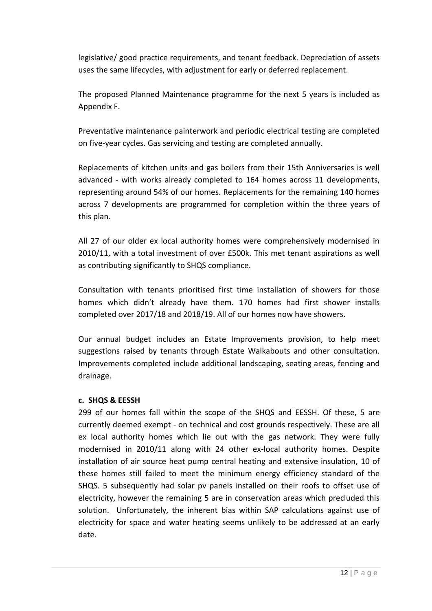legislative/ good practice requirements, and tenant feedback. Depreciation of assets uses the same lifecycles, with adjustment for early or deferred replacement.

The proposed Planned Maintenance programme for the next 5 years is included as Appendix F.

Preventative maintenance painterwork and periodic electrical testing are completed on five-year cycles. Gas servicing and testing are completed annually.

Replacements of kitchen units and gas boilers from their 15th Anniversaries is well advanced - with works already completed to 164 homes across 11 developments, representing around 54% of our homes. Replacements for the remaining 140 homes across 7 developments are programmed for completion within the three years of this plan.

All 27 of our older ex local authority homes were comprehensively modernised in 2010/11, with a total investment of over £500k. This met tenant aspirations as well as contributing significantly to SHQS compliance.

Consultation with tenants prioritised first time installation of showers for those homes which didn't already have them. 170 homes had first shower installs completed over 2017/18 and 2018/19. All of our homes now have showers.

Our annual budget includes an Estate Improvements provision, to help meet suggestions raised by tenants through Estate Walkabouts and other consultation. Improvements completed include additional landscaping, seating areas, fencing and drainage.

#### **c. SHQS & EESSH**

299 of our homes fall within the scope of the SHQS and EESSH. Of these, 5 are currently deemed exempt - on technical and cost grounds respectively. These are all ex local authority homes which lie out with the gas network. They were fully modernised in 2010/11 along with 24 other ex-local authority homes. Despite installation of air source heat pump central heating and extensive insulation, 10 of these homes still failed to meet the minimum energy efficiency standard of the SHQS. 5 subsequently had solar pv panels installed on their roofs to offset use of electricity, however the remaining 5 are in conservation areas which precluded this solution. Unfortunately, the inherent bias within SAP calculations against use of electricity for space and water heating seems unlikely to be addressed at an early date.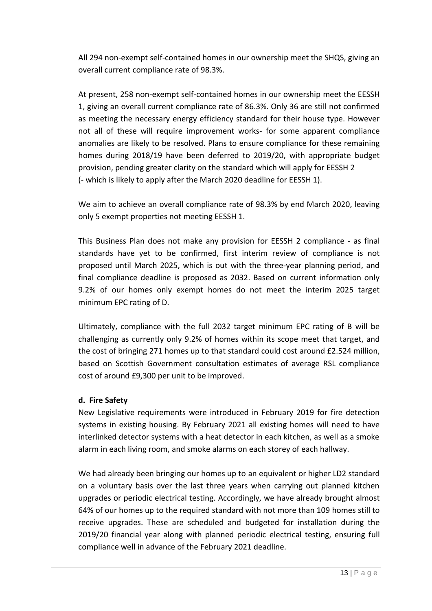All 294 non-exempt self-contained homes in our ownership meet the SHQS, giving an overall current compliance rate of 98.3%.

At present, 258 non-exempt self-contained homes in our ownership meet the EESSH 1, giving an overall current compliance rate of 86.3%. Only 36 are still not confirmed as meeting the necessary energy efficiency standard for their house type. However not all of these will require improvement works- for some apparent compliance anomalies are likely to be resolved. Plans to ensure compliance for these remaining homes during 2018/19 have been deferred to 2019/20, with appropriate budget provision, pending greater clarity on the standard which will apply for EESSH 2 (- which is likely to apply after the March 2020 deadline for EESSH 1).

We aim to achieve an overall compliance rate of 98.3% by end March 2020, leaving only 5 exempt properties not meeting EESSH 1.

This Business Plan does not make any provision for EESSH 2 compliance - as final standards have yet to be confirmed, first interim review of compliance is not proposed until March 2025, which is out with the three-year planning period, and final compliance deadline is proposed as 2032. Based on current information only 9.2% of our homes only exempt homes do not meet the interim 2025 target minimum EPC rating of D.

Ultimately, compliance with the full 2032 target minimum EPC rating of B will be challenging as currently only 9.2% of homes within its scope meet that target, and the cost of bringing 271 homes up to that standard could cost around £2.524 million, based on Scottish Government consultation estimates of average RSL compliance cost of around £9,300 per unit to be improved.

# **d. Fire Safety**

New Legislative requirements were introduced in February 2019 for fire detection systems in existing housing. By February 2021 all existing homes will need to have interlinked detector systems with a heat detector in each kitchen, as well as a smoke alarm in each living room, and smoke alarms on each storey of each hallway.

We had already been bringing our homes up to an equivalent or higher LD2 standard on a voluntary basis over the last three years when carrying out planned kitchen upgrades or periodic electrical testing. Accordingly, we have already brought almost 64% of our homes up to the required standard with not more than 109 homes still to receive upgrades. These are scheduled and budgeted for installation during the 2019/20 financial year along with planned periodic electrical testing, ensuring full compliance well in advance of the February 2021 deadline.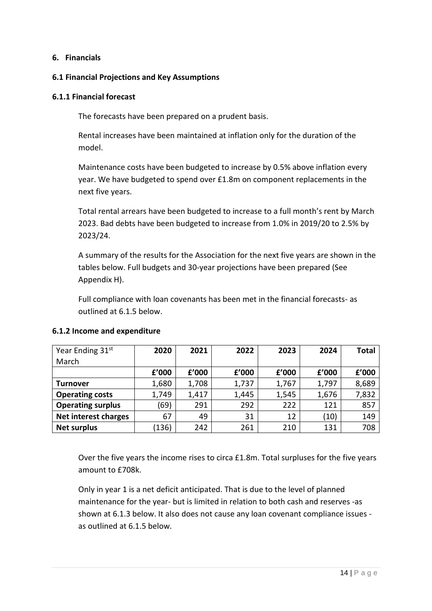# **6. Financials**

#### **6.1 Financial Projections and Key Assumptions**

#### **6.1.1 Financial forecast**

The forecasts have been prepared on a prudent basis.

Rental increases have been maintained at inflation only for the duration of the model.

Maintenance costs have been budgeted to increase by 0.5% above inflation every year. We have budgeted to spend over £1.8m on component replacements in the next five years.

Total rental arrears have been budgeted to increase to a full month's rent by March 2023. Bad debts have been budgeted to increase from 1.0% in 2019/20 to 2.5% by 2023/24.

A summary of the results for the Association for the next five years are shown in the tables below. Full budgets and 30-year projections have been prepared (See Appendix H).

Full compliance with loan covenants has been met in the financial forecasts- as outlined at 6.1.5 below.

| Year Ending 31 <sup>st</sup> | 2020  | 2021  | 2022  | 2023  | 2024  | <b>Total</b> |
|------------------------------|-------|-------|-------|-------|-------|--------------|
| March                        |       |       |       |       |       |              |
|                              | f'000 | f'000 | f'000 | f'000 | £'000 | £'000        |
| Turnover                     | 1,680 | 1,708 | 1,737 | 1,767 | 1,797 | 8,689        |
| <b>Operating costs</b>       | 1,749 | 1,417 | 1,445 | 1,545 | 1,676 | 7,832        |
| <b>Operating surplus</b>     | (69   | 291   | 292   | 222   | 121   | 857          |
| Net interest charges         | 67    | 49    | 31    | 12    | (10)  | 149          |
| <b>Net surplus</b>           | 136)  | 242   | 261   | 210   | 131   | 708          |

# **6.1.2 Income and expenditure**

Over the five years the income rises to circa £1.8m. Total surpluses for the five years amount to £708k.

Only in year 1 is a net deficit anticipated. That is due to the level of planned maintenance for the year- but is limited in relation to both cash and reserves -as shown at 6.1.3 below. It also does not cause any loan covenant compliance issues as outlined at 6.1.5 below.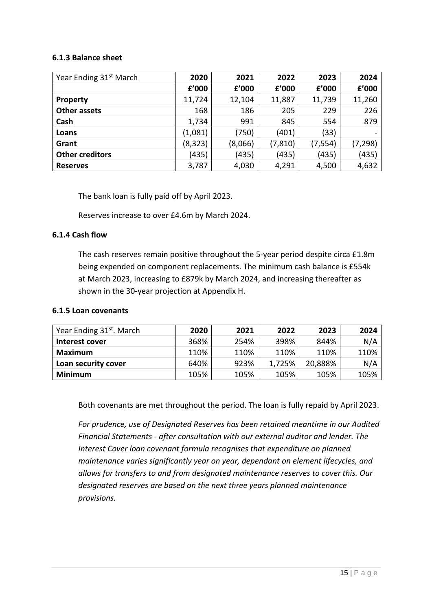#### **6.1.3 Balance sheet**

| Year Ending 31 <sup>st</sup> March | 2020     | 2021    | 2022     | 2023     | 2024     |
|------------------------------------|----------|---------|----------|----------|----------|
|                                    | f'000    | £'000   | £'000    | f'000    | f'000    |
| <b>Property</b>                    | 11,724   | 12,104  | 11,887   | 11,739   | 11,260   |
| Other assets                       | 168      | 186     | 205      | 229      | 226      |
| Cash                               | 1,734    | 991     | 845      | 554      | 879      |
| Loans                              | (1,081)  | (750)   | (401)    | (33)     |          |
| Grant                              | (8, 323) | (8,066) | (7, 810) | (7, 554) | (7, 298) |
| <b>Other creditors</b>             | (435)    | (435)   | (435)    | (435)    | (435)    |
| <b>Reserves</b>                    | 3,787    | 4,030   | 4,291    | 4,500    | 4,632    |

The bank loan is fully paid off by April 2023.

Reserves increase to over £4.6m by March 2024.

# **6.1.4 Cash flow**

The cash reserves remain positive throughout the 5-year period despite circa £1.8m being expended on component replacements. The minimum cash balance is £554k at March 2023, increasing to £879k by March 2024, and increasing thereafter as shown in the 30-year projection at Appendix H.

#### **6.1.5 Loan covenants**

| Year Ending 31 <sup>st</sup> . March | 2020 | 2021 | 2022   | 2023    | 2024 |
|--------------------------------------|------|------|--------|---------|------|
| Interest cover                       | 368% | 254% | 398%   | 844%    | N/A  |
| Maximum                              | 110% | 110% | 110%   | 110%    | 110% |
| Loan security cover                  | 640% | 923% | 1,725% | 20,888% | N/A  |
| Minimum                              | 105% | 105% | 105%   | 105%    | 105% |

Both covenants are met throughout the period. The loan is fully repaid by April 2023.

*For prudence, use of Designated Reserves has been retained meantime in our Audited Financial Statements - after consultation with our external auditor and lender. The Interest Cover loan covenant formula recognises that expenditure on planned maintenance varies significantly year on year, dependant on element lifecycles, and allows for transfers to and from designated maintenance reserves to cover this. Our designated reserves are based on the next three years planned maintenance provisions.*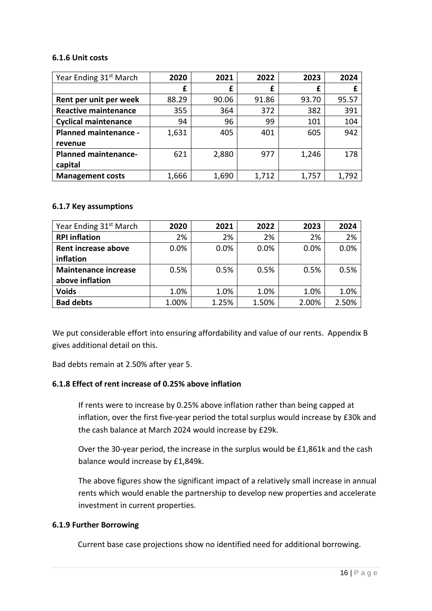#### **6.1.6 Unit costs**

| Year Ending 31 <sup>st</sup> March | 2020  | 2021  | 2022  | 2023  | 2024  |
|------------------------------------|-------|-------|-------|-------|-------|
|                                    | £     | £     | £     | £     | £     |
| Rent per unit per week             | 88.29 | 90.06 | 91.86 | 93.70 | 95.57 |
| <b>Reactive maintenance</b>        | 355   | 364   | 372   | 382   | 391   |
| <b>Cyclical maintenance</b>        | 94    | 96    | 99    | 101   | 104   |
| <b>Planned maintenance -</b>       | 1,631 | 405   | 401   | 605   | 942   |
| revenue                            |       |       |       |       |       |
| <b>Planned maintenance-</b>        | 621   | 2,880 | 977   | 1,246 | 178   |
| capital                            |       |       |       |       |       |
| <b>Management costs</b>            | 1,666 | 1,690 | 1,712 | 1,757 | 1,792 |

#### **6.1.7 Key assumptions**

| Year Ending 31 <sup>st</sup> March | 2020  | 2021  | 2022  | 2023  | 2024  |
|------------------------------------|-------|-------|-------|-------|-------|
| <b>RPI</b> inflation               | 2%    | 2%    | 2%    | 2%    | 2%    |
| Rent increase above                | 0.0%  | 0.0%  | 0.0%  | 0.0%  | 0.0%  |
| inflation                          |       |       |       |       |       |
| <b>Maintenance increase</b>        | 0.5%  | 0.5%  | 0.5%  | 0.5%  | 0.5%  |
| above inflation                    |       |       |       |       |       |
| <b>Voids</b>                       | 1.0%  | 1.0%  | 1.0%  | 1.0%  | 1.0%  |
| <b>Bad debts</b>                   | 1.00% | 1.25% | 1.50% | 2.00% | 2.50% |

We put considerable effort into ensuring affordability and value of our rents. Appendix B gives additional detail on this.

Bad debts remain at 2.50% after year 5.

#### **6.1.8 Effect of rent increase of 0.25% above inflation**

If rents were to increase by 0.25% above inflation rather than being capped at inflation, over the first five-year period the total surplus would increase by £30k and the cash balance at March 2024 would increase by £29k.

Over the 30-year period, the increase in the surplus would be £1,861k and the cash balance would increase by £1,849k.

The above figures show the significant impact of a relatively small increase in annual rents which would enable the partnership to develop new properties and accelerate investment in current properties.

#### **6.1.9 Further Borrowing**

Current base case projections show no identified need for additional borrowing.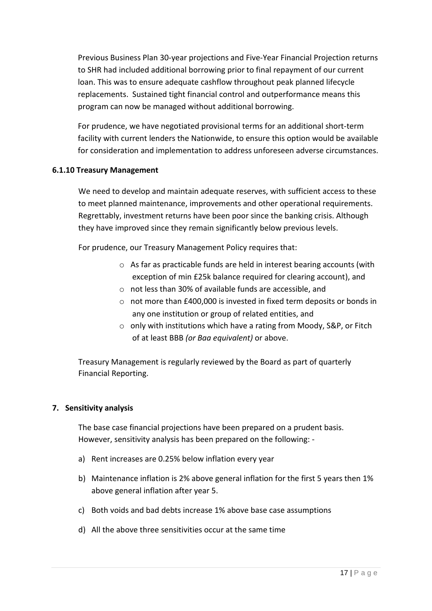Previous Business Plan 30-year projections and Five-Year Financial Projection returns to SHR had included additional borrowing prior to final repayment of our current loan. This was to ensure adequate cashflow throughout peak planned lifecycle replacements. Sustained tight financial control and outperformance means this program can now be managed without additional borrowing.

For prudence, we have negotiated provisional terms for an additional short-term facility with current lenders the Nationwide, to ensure this option would be available for consideration and implementation to address unforeseen adverse circumstances.

### **6.1.10 Treasury Management**

We need to develop and maintain adequate reserves, with sufficient access to these to meet planned maintenance, improvements and other operational requirements. Regrettably, investment returns have been poor since the banking crisis. Although they have improved since they remain significantly below previous levels.

For prudence, our Treasury Management Policy requires that:

- o As far as practicable funds are held in interest bearing accounts (with exception of min £25k balance required for clearing account), and
- o not less than 30% of available funds are accessible, and
- o not more than £400,000 is invested in fixed term deposits or bonds in any one institution or group of related entities, and
- o only with institutions which have a rating from Moody, S&P, or Fitch of at least BBB *(or Baa equivalent)* or above.

Treasury Management is regularly reviewed by the Board as part of quarterly Financial Reporting.

#### **7. Sensitivity analysis**

The base case financial projections have been prepared on a prudent basis. However, sensitivity analysis has been prepared on the following: -

- a) Rent increases are 0.25% below inflation every year
- b) Maintenance inflation is 2% above general inflation for the first 5 years then 1% above general inflation after year 5.
- c) Both voids and bad debts increase 1% above base case assumptions
- d) All the above three sensitivities occur at the same time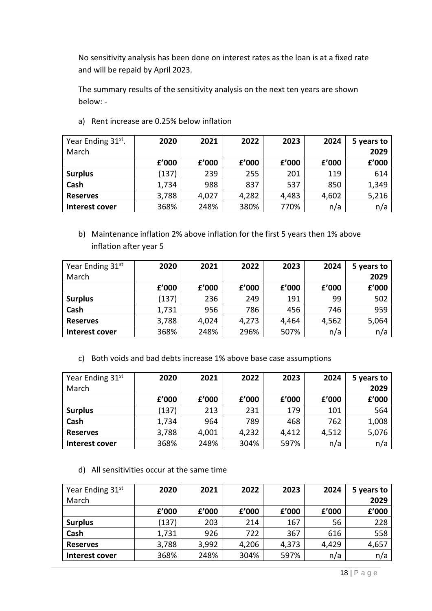No sensitivity analysis has been done on interest rates as the loan is at a fixed rate and will be repaid by April 2023.

The summary results of the sensitivity analysis on the next ten years are shown below: -

| Year Ending 31 <sup>st</sup> . | 2020  | 2021  | 2022  | 2023  | 2024  | 5 years to |
|--------------------------------|-------|-------|-------|-------|-------|------------|
| March                          |       |       |       |       |       | 2029       |
|                                | £'000 | f'000 | £'000 | £'000 | f'000 | £'000      |
| <b>Surplus</b>                 | (137) | 239   | 255   | 201   | 119   | 614        |
| Cash                           | 1,734 | 988   | 837   | 537   | 850   | 1,349      |
| <b>Reserves</b>                | 3,788 | 4,027 | 4,282 | 4,483 | 4,602 | 5,216      |
| Interest cover                 | 368%  | 248%  | 380%  | 770%  | n/a   | n/a        |

a) Rent increase are 0.25% below inflation

b) Maintenance inflation 2% above inflation for the first 5 years then 1% above inflation after year 5

| Year Ending 31st | 2020  | 2021  | 2022  | 2023  | 2024  | 5 years to |
|------------------|-------|-------|-------|-------|-------|------------|
| March            |       |       |       |       |       | 2029       |
|                  | £'000 | f'000 | f'000 | £'000 | £'000 | £'000      |
| <b>Surplus</b>   | (137) | 236   | 249   | 191   | 99    | 502        |
| Cash             | 1,731 | 956   | 786   | 456   | 746   | 959        |
| <b>Reserves</b>  | 3,788 | 4,024 | 4,273 | 4,464 | 4,562 | 5,064      |
| Interest cover   | 368%  | 248%  | 296%  | 507%  | n/a   | n/a        |

c) Both voids and bad debts increase 1% above base case assumptions

| Year Ending 31st | 2020  | 2021  | 2022  | 2023  | 2024  | 5 years to |
|------------------|-------|-------|-------|-------|-------|------------|
| March            |       |       |       |       |       | 2029       |
|                  | f'000 | f'000 | f'000 | £'000 | f'000 | £'000      |
| <b>Surplus</b>   | (137) | 213   | 231   | 179   | 101   | 564        |
| Cash             | 1,734 | 964   | 789   | 468   | 762   | 1,008      |
| <b>Reserves</b>  | 3,788 | 4,001 | 4,232 | 4,412 | 4,512 | 5,076      |
| Interest cover   | 368%  | 248%  | 304%  | 597%  | n/a   | n/a        |

d) All sensitivities occur at the same time

| Year Ending 31st | 2020  | 2021  | 2022  | 2023  | 2024  | 5 years to |
|------------------|-------|-------|-------|-------|-------|------------|
| March            |       |       |       |       |       | 2029       |
|                  | £'000 | f'000 | f'000 | £'000 | f'000 | £'000      |
| <b>Surplus</b>   | (137) | 203   | 214   | 167   | 56    | 228        |
| Cash             | 1,731 | 926   | 722   | 367   | 616   | 558        |
| <b>Reserves</b>  | 3,788 | 3,992 | 4,206 | 4,373 | 4,429 | 4,657      |
| Interest cover   | 368%  | 248%  | 304%  | 597%  | n/a   | n/a        |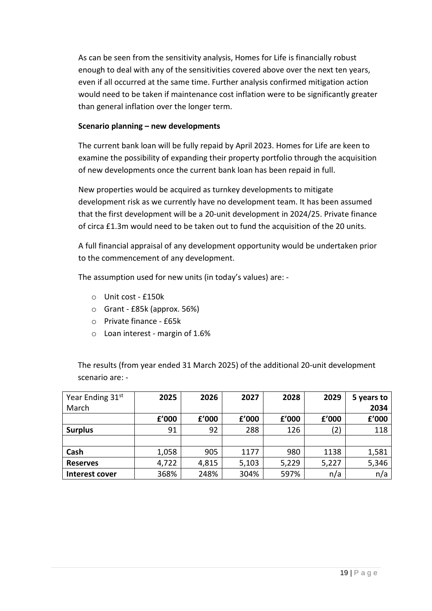As can be seen from the sensitivity analysis, Homes for Life is financially robust enough to deal with any of the sensitivities covered above over the next ten years, even if all occurred at the same time. Further analysis confirmed mitigation action would need to be taken if maintenance cost inflation were to be significantly greater than general inflation over the longer term.

# **Scenario planning – new developments**

The current bank loan will be fully repaid by April 2023. Homes for Life are keen to examine the possibility of expanding their property portfolio through the acquisition of new developments once the current bank loan has been repaid in full.

New properties would be acquired as turnkey developments to mitigate development risk as we currently have no development team. It has been assumed that the first development will be a 20-unit development in 2024/25. Private finance of circa £1.3m would need to be taken out to fund the acquisition of the 20 units.

A full financial appraisal of any development opportunity would be undertaken prior to the commencement of any development.

The assumption used for new units (in today's values) are: -

- o Unit cost £150k
- o Grant £85k (approx. 56%)
- o Private finance £65k
- o Loan interest margin of 1.6%

The results (from year ended 31 March 2025) of the additional 20-unit development scenario are: -

| Year Ending 31st | 2025  | 2026  | 2027  | 2028  | 2029  | 5 years to |
|------------------|-------|-------|-------|-------|-------|------------|
| March            |       |       |       |       |       | 2034       |
|                  | £'000 | f'000 | f'000 | £'000 | f'000 | £'000      |
| <b>Surplus</b>   | 91    | 92    | 288   | 126   | (2)   | 118        |
|                  |       |       |       |       |       |            |
| Cash             | 1,058 | 905   | 1177  | 980   | 1138  | 1,581      |
| <b>Reserves</b>  | 4,722 | 4,815 | 5,103 | 5,229 | 5,227 | 5,346      |
| Interest cover   | 368%  | 248%  | 304%  | 597%  | n/a   | n/a        |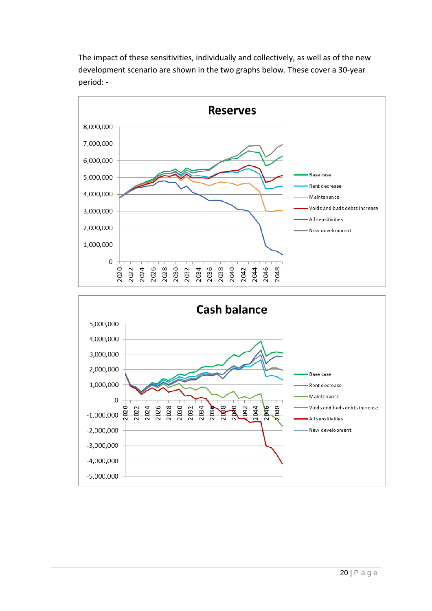The impact of these sensitivities, individually and collectively, as well as of the new development scenario are shown in the two graphs below. These cover a 30-year period: -



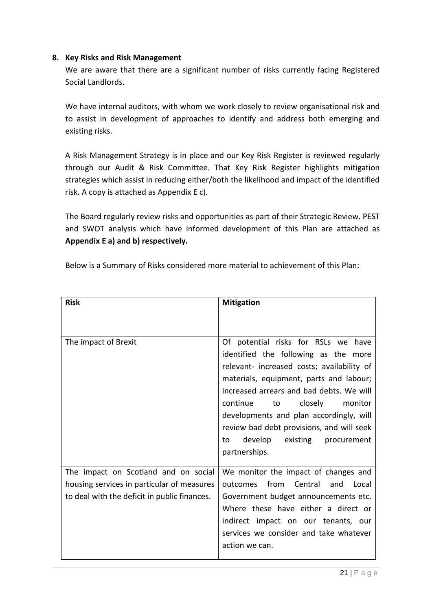# **8. Key Risks and Risk Management**

We are aware that there are a significant number of risks currently facing Registered Social Landlords.

We have internal auditors, with whom we work closely to review organisational risk and to assist in development of approaches to identify and address both emerging and existing risks.

A Risk Management Strategy is in place and our Key Risk Register is reviewed regularly through our Audit & Risk Committee. That Key Risk Register highlights mitigation strategies which assist in reducing either/both the likelihood and impact of the identified risk. A copy is attached as Appendix E c).

The Board regularly review risks and opportunities as part of their Strategic Review. PEST and SWOT analysis which have informed development of this Plan are attached as **Appendix E a) and b) respectively.**

Below is a Summary of Risks considered more material to achievement of this Plan:

| <b>Risk</b>                                                                                                                        | <b>Mitigation</b>                                                                                                                                                                                                                                                                                                                                                                                             |
|------------------------------------------------------------------------------------------------------------------------------------|---------------------------------------------------------------------------------------------------------------------------------------------------------------------------------------------------------------------------------------------------------------------------------------------------------------------------------------------------------------------------------------------------------------|
|                                                                                                                                    |                                                                                                                                                                                                                                                                                                                                                                                                               |
| The impact of Brexit                                                                                                               | Of potential risks for RSLs we have<br>identified the following as the more<br>relevant- increased costs; availability of<br>materials, equipment, parts and labour;<br>increased arrears and bad debts. We will<br>closely<br>continue<br>monitor<br>to<br>developments and plan accordingly, will<br>review bad debt provisions, and will seek<br>develop<br>existing<br>procurement<br>to<br>partnerships. |
| The impact on Scotland and on social<br>housing services in particular of measures<br>to deal with the deficit in public finances. | We monitor the impact of changes and<br>from<br>Central<br>and<br>Local<br>outcomes<br>Government budget announcements etc.<br>Where these have either a direct or<br>indirect impact on our tenants, our<br>services we consider and take whatever<br>action we can.                                                                                                                                         |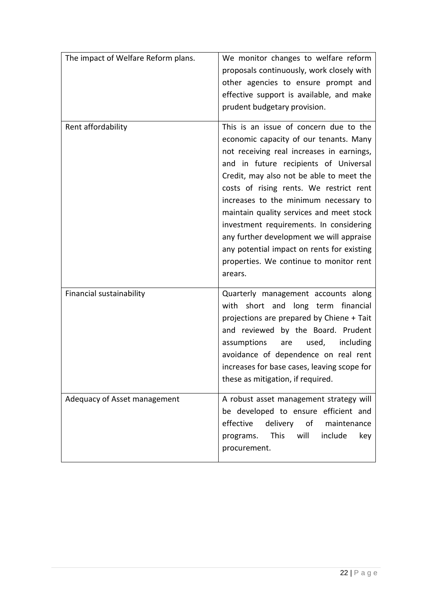| The impact of Welfare Reform plans. | We monitor changes to welfare reform<br>proposals continuously, work closely with<br>other agencies to ensure prompt and<br>effective support is available, and make<br>prudent budgetary provision.                                                                                                                                                                                                                                                                                                                                          |
|-------------------------------------|-----------------------------------------------------------------------------------------------------------------------------------------------------------------------------------------------------------------------------------------------------------------------------------------------------------------------------------------------------------------------------------------------------------------------------------------------------------------------------------------------------------------------------------------------|
| Rent affordability                  | This is an issue of concern due to the<br>economic capacity of our tenants. Many<br>not receiving real increases in earnings,<br>and in future recipients of Universal<br>Credit, may also not be able to meet the<br>costs of rising rents. We restrict rent<br>increases to the minimum necessary to<br>maintain quality services and meet stock<br>investment requirements. In considering<br>any further development we will appraise<br>any potential impact on rents for existing<br>properties. We continue to monitor rent<br>arears. |
| Financial sustainability            | Quarterly management accounts along<br>with short and long term financial<br>projections are prepared by Chiene + Tait<br>and reviewed by the Board. Prudent<br>assumptions<br>used,<br>including<br>are<br>avoidance of dependence on real rent<br>increases for base cases, leaving scope for<br>these as mitigation, if required.                                                                                                                                                                                                          |
| Adequacy of Asset management        | A robust asset management strategy will<br>be developed to ensure efficient and<br>delivery of<br>effective<br>maintenance<br>will<br><b>This</b><br>include<br>programs.<br>key<br>procurement.                                                                                                                                                                                                                                                                                                                                              |